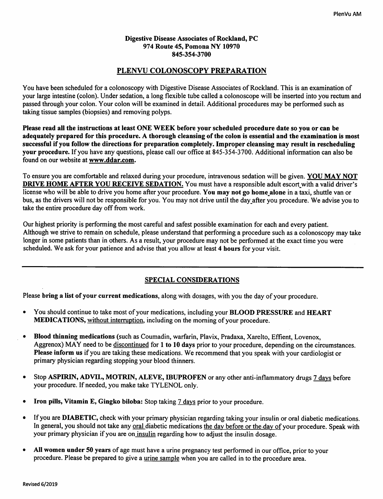## *Digestive Disease Associates of Rockland, PC 974 Route 45, Pomona NY 10970 845-354-3700*

# *PLENVU COLONOSCOPY PREPARATION*

You have been scheduled for a colonoscopy with Digestive Disease Associates of Rockland. This is an examination of your large intestine (colon). Under sedation, a long flexible tube called a colonoscope will be inserted into you rectum and passed through your colon. Your colon will be examined in detail. Additional procedures may be performed such as taking tissue samples (biopsies) and removing polyps.

*Please read all the instructions at least ONE WEEK before your scheduled procedure date so you or can be* adequately prepared for this procedure. A thorough cleansing of the colon is essential and the examination is most *successful if you follow the directions for preparation completely. Improper cleansing may result in rescheduling your procedure.* If you have any questions, please call our office at 845-354-3700. Additional information can also be found on our website at *www.ddar.com.*

To ensure you are comfortable and relaxed during your procedure, intravenous sedation will be given. *YOU MAY NOT DRIVE HOME AFTER YOU RECEIVE SEDATION.* You must have a responsible adult escort with a valid driver's license who will be able to drive you home after your procedure. *You may not go home alone* in a taxi, shuttle van or bus, as the drivers will not be responsible for you. You may not drive until the day\_after you procedure. We advise you to take the entire procedure day off from work.

Our highest priority is performing the most careful and safest possible examination for each and every patient. Although we strive to remain on schedule, please understand that performinga procedure such as a colonoscopy may take longer in some patients than in others. As a result, your procedure may not be performed at the exact time you were scheduled. We ask for your patience and advise that you allow at least *4 hours* for your visit.

# *SPECIAL CONSIDERATIONS*

Please bring a list of your current medications, along with dosages, with you the day of your procedure.

- You should continue to take most ofyour medications, including your *BLOOD PRESSURE* and *HEART* **MEDICATIONS, without interruption, including on the morning of your procedure.**
- *Blood thinning medications* (such as Coumadin, warfarin, Plavix, Pradaxa, Xarelto, Effient, Lovenox, Aggrenox) MAY need to be discontinued for 1 to 10 days prior to your procedure, depending on the circumstances. **Please inform us** if you are taking these medications. We recommend that you speak with your cardiologist or primary physician regarding stopping your blood thinners.
- Stop*ASPIRIN, ADVIL, MOTRIN, ALEVE, EBUPROFEN* or any other anti-inflammatory drugs 7 days before your procedure. If needed, you make take TYLENOL only.
- *Iron pills, Vitamin E, Gingko biloba:* Stop taking 7 days prior to your procedure.
- If you are DIABETIC, check with your primary physician regarding taking your insulin or oral diabetic medications. In general, you should not take any oral diabetic medications the day before or the day of your procedure. Speak with your primary physician if you are on insulin regarding how to adjust the insulin dosage.
- All women under 50 years of age must have a urine pregnancy test performed in our office, prior to your procedure. Please be prepared to give a urine sample whenyou are called in to the procedure area.